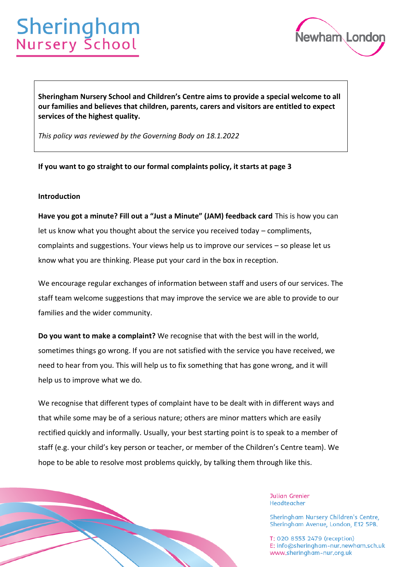# Sheringham<br>Nursery School



**Sheringham Nursery School and Children's Centre aims to provide a special welcome to all our families and believes that children, parents, carers and visitors are entitled to expect services of the highest quality.** 

*This policy was reviewed by the Governing Body on 18.1.2022*

**If you want to go straight to our formal complaints policy, it starts at page 3**

### **Introduction**

**Have you got a minute? Fill out a "Just a Minute" (JAM) feedback card** This is how you can let us know what you thought about the service you received today – compliments, complaints and suggestions. Your views help us to improve our services – so please let us know what you are thinking. Please put your card in the box in reception.

We encourage regular exchanges of information between staff and users of our services. The staff team welcome suggestions that may improve the service we are able to provide to our families and the wider community.

**Do you want to make a complaint?** We recognise that with the best will in the world, sometimes things go wrong. If you are not satisfied with the service you have received, we need to hear from you. This will help us to fix something that has gone wrong, and it will help us to improve what we do.

We recognise that different types of complaint have to be dealt with in different ways and that while some may be of a serious nature; others are minor matters which are easily rectified quickly and informally. Usually, your best starting point is to speak to a member of staff (e.g. your child's key person or teacher, or member of the Children's Centre team). We hope to be able to resolve most problems quickly, by talking them through like this.

Page 1 of 16

**Julian Grenier** Headteacher

Sheringham Nursery Children's Centre, Sheringham Avenue, London, E12 5PB.

T: 020 8553 2479 (reception) E: info@sheringham-nur.newham.sch.uk www.sheringham-nur.org.uk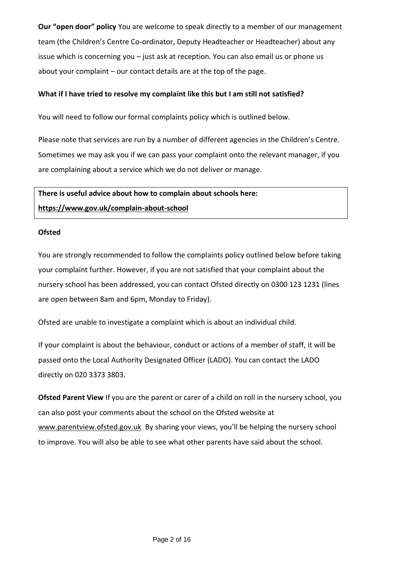**Our "open door" policy** You are welcome to speak directly to a member of our management team (the Children's Centre Co-ordinator, Deputy Headteacher or Headteacher) about any issue which is concerning you – just ask at reception. You can also email us or phone us about your complaint – our contact details are at the top of the page.

# **What if I have tried to resolve my complaint like this but I am still not satisfied?**

You will need to follow our formal complaints policy which is outlined below.

Please note that services are run by a number of different agencies in the Children's Centre. Sometimes we may ask you if we can pass your complaint onto the relevant manager, if you are complaining about a service which we do not deliver or manage.

**There is useful advice about how to complain about schools here: <https://www.gov.uk/complain-about-school>**

### **Ofsted**

You are strongly recommended to follow the complaints policy outlined below before taking your complaint further. However, if you are not satisfied that your complaint about the nursery school has been addressed, you can contact Ofsted directly on 0300 123 1231 (lines are open between 8am and 6pm, Monday to Friday).

Ofsted are unable to investigate a complaint which is about an individual child.

If your complaint is about the behaviour, conduct or actions of a member of staff, it will be passed onto the Local Authority Designated Officer (LADO). You can contact the LADO directly on 020 3373 3803.

**Ofsted Parent View** If you are the parent or carer of a child on roll in the nursery school, you can also post your comments about the school on the Ofsted website at [www.parentview.ofsted.gov.uk](http://www.parentview.ofsted.gov.uk/) By sharing your views, you'll be helping the nursery school to improve. You will also be able to see what other parents have said about the school.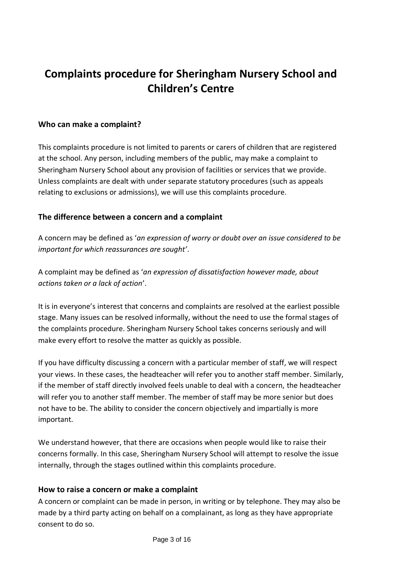# **Complaints procedure for Sheringham Nursery School and Children's Centre**

# **Who can make a complaint?**

This complaints procedure is not limited to parents or carers of children that are registered at the school. Any person, including members of the public, may make a complaint to Sheringham Nursery School about any provision of facilities or services that we provide. Unless complaints are dealt with under separate statutory procedures (such as appeals relating to exclusions or admissions), we will use this complaints procedure.

# **The difference between a concern and a complaint**

A concern may be defined as '*an expression of worry or doubt over an issue considered to be important for which reassurances are sought'*.

A complaint may be defined as '*an expression of dissatisfaction however made, about actions taken or a lack of action*'.

It is in everyone's interest that concerns and complaints are resolved at the earliest possible stage. Many issues can be resolved informally, without the need to use the formal stages of the complaints procedure. Sheringham Nursery School takes concerns seriously and will make every effort to resolve the matter as quickly as possible.

If you have difficulty discussing a concern with a particular member of staff, we will respect your views. In these cases, the headteacher will refer you to another staff member. Similarly, if the member of staff directly involved feels unable to deal with a concern, the headteacher will refer you to another staff member. The member of staff may be more senior but does not have to be. The ability to consider the concern objectively and impartially is more important.

We understand however, that there are occasions when people would like to raise their concerns formally. In this case, Sheringham Nursery School will attempt to resolve the issue internally, through the stages outlined within this complaints procedure.

# **How to raise a concern or make a complaint**

A concern or complaint can be made in person, in writing or by telephone. They may also be made by a third party acting on behalf on a complainant, as long as they have appropriate consent to do so.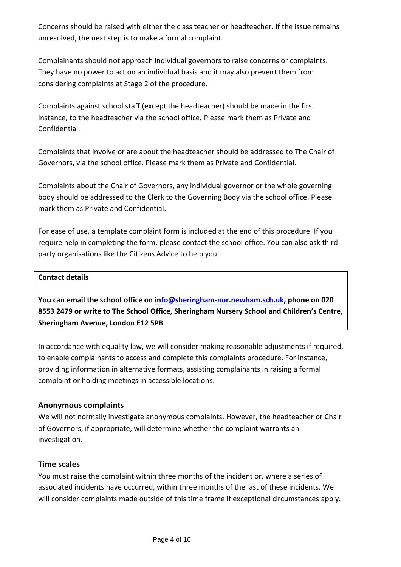Concerns should be raised with either the class teacher or headteacher. If the issue remains unresolved, the next step is to make a formal complaint.

Complainants should not approach individual governors to raise concerns or complaints. They have no power to act on an individual basis and it may also prevent them from considering complaints at Stage 2 of the procedure.

Complaints against school staff (except the headteacher) should be made in the first instance, to the headteacher via the school office*.* Please mark them as Private and Confidential.

Complaints that involve or are about the headteacher should be addressed to The Chair of Governors, via the school office. Please mark them as Private and Confidential.

Complaints about the Chair of Governors, any individual governor or the whole governing body should be addressed to the Clerk to the Governing Body via the school office. Please mark them as Private and Confidential.

For ease of use, a template complaint form is included at the end of this procedure. If you require help in completing the form, please contact the school office. You can also ask third party organisations like the Citizens Advice to help you.

# **Contact details**

**You can email the school office on [info@sheringham-nur.newham.sch.uk,](mailto:info@sheringham-nur.newham.sch.uk) phone on 020 8553 2479 or write to The School Office, Sheringham Nursery School and Children's Centre, Sheringham Avenue, London E12 5PB**

In accordance with equality law, we will consider making reasonable adjustments if required, to enable complainants to access and complete this complaints procedure. For instance, providing information in alternative formats, assisting complainants in raising a formal complaint or holding meetings in accessible locations.

# **Anonymous complaints**

We will not normally investigate anonymous complaints. However, the headteacher or Chair of Governors, if appropriate, will determine whether the complaint warrants an investigation.

# **Time scales**

You must raise the complaint within three months of the incident or, where a series of associated incidents have occurred, within three months of the last of these incidents. We will consider complaints made outside of this time frame if exceptional circumstances apply.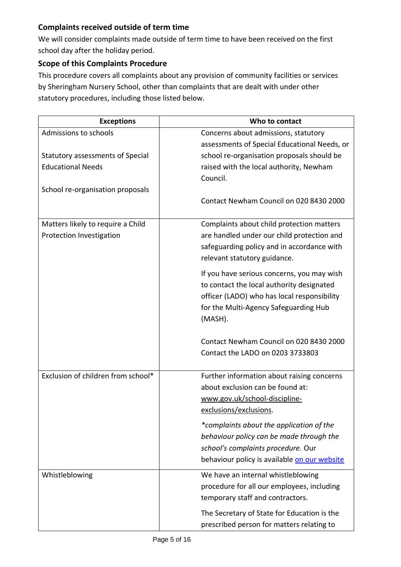# **Complaints received outside of term time**

We will consider complaints made outside of term time to have been received on the first school day after the holiday period.

# **Scope of this Complaints Procedure**

This procedure covers all complaints about any provision of community facilities or services by Sheringham Nursery School, other than complaints that are dealt with under other statutory procedures, including those listed below.

| <b>Exceptions</b>                  | Who to contact                               |
|------------------------------------|----------------------------------------------|
| Admissions to schools              | Concerns about admissions, statutory         |
|                                    | assessments of Special Educational Needs, or |
| Statutory assessments of Special   | school re-organisation proposals should be   |
| <b>Educational Needs</b>           | raised with the local authority, Newham      |
|                                    | Council.                                     |
| School re-organisation proposals   |                                              |
|                                    | Contact Newham Council on 020 8430 2000      |
| Matters likely to require a Child  | Complaints about child protection matters    |
| Protection Investigation           | are handled under our child protection and   |
|                                    | safeguarding policy and in accordance with   |
|                                    | relevant statutory guidance.                 |
|                                    | If you have serious concerns, you may wish   |
|                                    | to contact the local authority designated    |
|                                    | officer (LADO) who has local responsibility  |
|                                    | for the Multi-Agency Safeguarding Hub        |
|                                    | (MASH).                                      |
|                                    | Contact Newham Council on 020 8430 2000      |
|                                    | Contact the LADO on 0203 3733803             |
|                                    |                                              |
| Exclusion of children from school* | Further information about raising concerns   |
|                                    | about exclusion can be found at:             |
|                                    | www.gov.uk/school-discipline-                |
|                                    | exclusions/exclusions.                       |
|                                    | *complaints about the application of the     |
|                                    | behaviour policy can be made through the     |
|                                    | school's complaints procedure. Our           |
|                                    | behaviour policy is available on our website |
| Whistleblowing                     | We have an internal whistleblowing           |
|                                    | procedure for all our employees, including   |
|                                    | temporary staff and contractors.             |
|                                    | The Secretary of State for Education is the  |
|                                    | prescribed person for matters relating to    |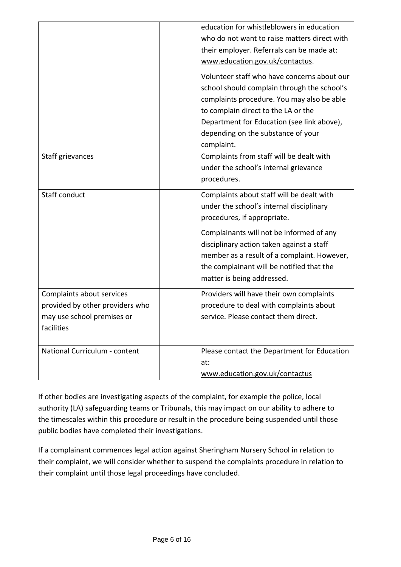|                                                                                                          | education for whistleblowers in education<br>who do not want to raise matters direct with<br>their employer. Referrals can be made at:<br>www.education.gov.uk/contactus.<br>Volunteer staff who have concerns about our<br>school should complain through the school's<br>complaints procedure. You may also be able<br>to complain direct to the LA or the<br>Department for Education (see link above),<br>depending on the substance of your<br>complaint. |
|----------------------------------------------------------------------------------------------------------|----------------------------------------------------------------------------------------------------------------------------------------------------------------------------------------------------------------------------------------------------------------------------------------------------------------------------------------------------------------------------------------------------------------------------------------------------------------|
| Staff grievances                                                                                         | Complaints from staff will be dealt with<br>under the school's internal grievance<br>procedures.                                                                                                                                                                                                                                                                                                                                                               |
| Staff conduct                                                                                            | Complaints about staff will be dealt with<br>under the school's internal disciplinary<br>procedures, if appropriate.                                                                                                                                                                                                                                                                                                                                           |
|                                                                                                          | Complainants will not be informed of any<br>disciplinary action taken against a staff<br>member as a result of a complaint. However,<br>the complainant will be notified that the<br>matter is being addressed.                                                                                                                                                                                                                                                |
| Complaints about services<br>provided by other providers who<br>may use school premises or<br>facilities | Providers will have their own complaints<br>procedure to deal with complaints about<br>service. Please contact them direct.                                                                                                                                                                                                                                                                                                                                    |
| National Curriculum - content                                                                            | Please contact the Department for Education<br>at:<br>www.education.gov.uk/contactus                                                                                                                                                                                                                                                                                                                                                                           |

If other bodies are investigating aspects of the complaint, for example the police, local authority (LA) safeguarding teams or Tribunals, this may impact on our ability to adhere to the timescales within this procedure or result in the procedure being suspended until those public bodies have completed their investigations.

If a complainant commences legal action against Sheringham Nursery School in relation to their complaint, we will consider whether to suspend the complaints procedure in relation to their complaint until those legal proceedings have concluded.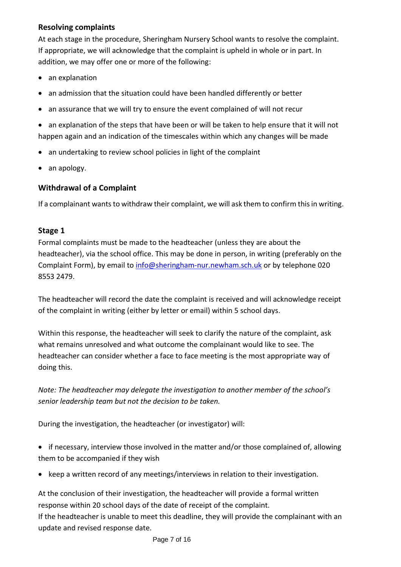# **Resolving complaints**

At each stage in the procedure, Sheringham Nursery School wants to resolve the complaint. If appropriate, we will acknowledge that the complaint is upheld in whole or in part. In addition, we may offer one or more of the following:

- an explanation
- an admission that the situation could have been handled differently or better
- an assurance that we will try to ensure the event complained of will not recur
- an explanation of the steps that have been or will be taken to help ensure that it will not happen again and an indication of the timescales within which any changes will be made
- an undertaking to review school policies in light of the complaint
- an apology.

# **Withdrawal of a Complaint**

If a complainant wants to withdraw their complaint, we will ask them to confirm this in writing.

# **Stage 1**

Formal complaints must be made to the headteacher (unless they are about the headteacher), via the school office. This may be done in person, in writing (preferably on the Complaint Form), by email to [info@sheringham-nur.newham.sch.uk](mailto:info@sheringham-nur.newham.sch.uk) or by telephone 020 8553 2479.

The headteacher will record the date the complaint is received and will acknowledge receipt of the complaint in writing (either by letter or email) within 5 school days.

Within this response, the headteacher will seek to clarify the nature of the complaint, ask what remains unresolved and what outcome the complainant would like to see. The headteacher can consider whether a face to face meeting is the most appropriate way of doing this.

*Note: The headteacher may delegate the investigation to another member of the school's senior leadership team but not the decision to be taken.*

During the investigation, the headteacher (or investigator) will:

• if necessary, interview those involved in the matter and/or those complained of, allowing them to be accompanied if they wish

• keep a written record of any meetings/interviews in relation to their investigation.

At the conclusion of their investigation, the headteacher will provide a formal written response within 20 school days of the date of receipt of the complaint.

If the headteacher is unable to meet this deadline, they will provide the complainant with an update and revised response date.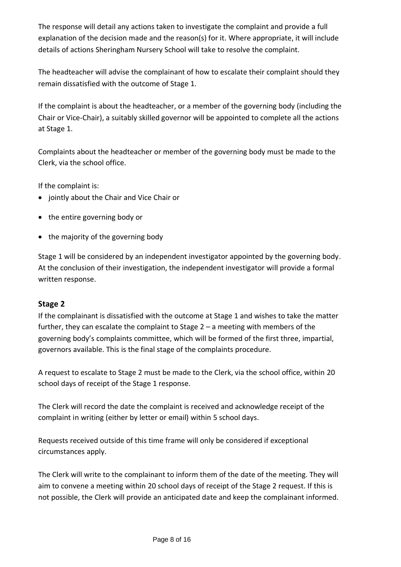The response will detail any actions taken to investigate the complaint and provide a full explanation of the decision made and the reason(s) for it. Where appropriate, it will include details of actions Sheringham Nursery School will take to resolve the complaint.

The headteacher will advise the complainant of how to escalate their complaint should they remain dissatisfied with the outcome of Stage 1.

If the complaint is about the headteacher, or a member of the governing body (including the Chair or Vice-Chair), a suitably skilled governor will be appointed to complete all the actions at Stage 1.

Complaints about the headteacher or member of the governing body must be made to the Clerk, via the school office.

If the complaint is:

- jointly about the Chair and Vice Chair or
- the entire governing body or
- the majority of the governing body

Stage 1 will be considered by an independent investigator appointed by the governing body. At the conclusion of their investigation, the independent investigator will provide a formal written response.

# **Stage 2**

If the complainant is dissatisfied with the outcome at Stage 1 and wishes to take the matter further, they can escalate the complaint to Stage 2 – a meeting with members of the governing body's complaints committee, which will be formed of the first three, impartial, governors available. This is the final stage of the complaints procedure.

A request to escalate to Stage 2 must be made to the Clerk, via the school office, within 20 school days of receipt of the Stage 1 response.

The Clerk will record the date the complaint is received and acknowledge receipt of the complaint in writing (either by letter or email) within 5 school days.

Requests received outside of this time frame will only be considered if exceptional circumstances apply.

The Clerk will write to the complainant to inform them of the date of the meeting. They will aim to convene a meeting within 20 school days of receipt of the Stage 2 request. If this is not possible, the Clerk will provide an anticipated date and keep the complainant informed.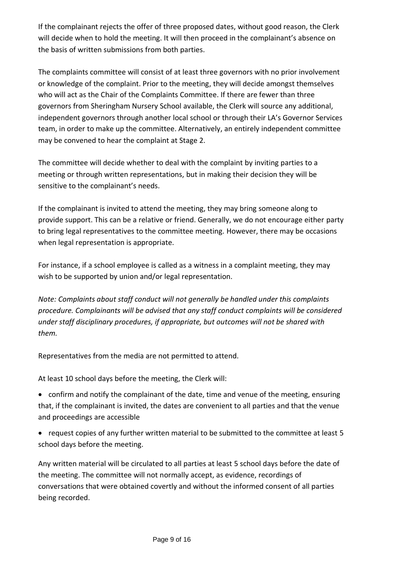If the complainant rejects the offer of three proposed dates, without good reason, the Clerk will decide when to hold the meeting. It will then proceed in the complainant's absence on the basis of written submissions from both parties.

The complaints committee will consist of at least three governors with no prior involvement or knowledge of the complaint. Prior to the meeting, they will decide amongst themselves who will act as the Chair of the Complaints Committee. If there are fewer than three governors from Sheringham Nursery School available, the Clerk will source any additional, independent governors through another local school or through their LA's Governor Services team, in order to make up the committee. Alternatively, an entirely independent committee may be convened to hear the complaint at Stage 2.

The committee will decide whether to deal with the complaint by inviting parties to a meeting or through written representations, but in making their decision they will be sensitive to the complainant's needs.

If the complainant is invited to attend the meeting, they may bring someone along to provide support. This can be a relative or friend. Generally, we do not encourage either party to bring legal representatives to the committee meeting. However, there may be occasions when legal representation is appropriate.

For instance, if a school employee is called as a witness in a complaint meeting, they may wish to be supported by union and/or legal representation.

*Note: Complaints about staff conduct will not generally be handled under this complaints procedure. Complainants will be advised that any staff conduct complaints will be considered under staff disciplinary procedures, if appropriate, but outcomes will not be shared with them.* 

Representatives from the media are not permitted to attend.

At least 10 school days before the meeting, the Clerk will:

- confirm and notify the complainant of the date, time and venue of the meeting, ensuring that, if the complainant is invited, the dates are convenient to all parties and that the venue and proceedings are accessible
- request copies of any further written material to be submitted to the committee at least 5 school days before the meeting.

Any written material will be circulated to all parties at least 5 school days before the date of the meeting. The committee will not normally accept, as evidence, recordings of conversations that were obtained covertly and without the informed consent of all parties being recorded.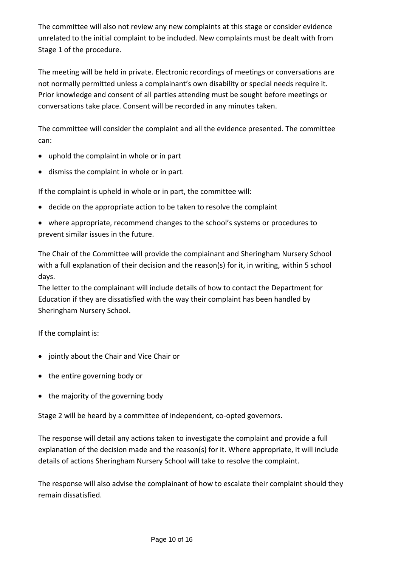The committee will also not review any new complaints at this stage or consider evidence unrelated to the initial complaint to be included. New complaints must be dealt with from Stage 1 of the procedure.

The meeting will be held in private. Electronic recordings of meetings or conversations are not normally permitted unless a complainant's own disability or special needs require it. Prior knowledge and consent of all parties attending must be sought before meetings or conversations take place. Consent will be recorded in any minutes taken.

The committee will consider the complaint and all the evidence presented. The committee can:

- uphold the complaint in whole or in part
- dismiss the complaint in whole or in part.

If the complaint is upheld in whole or in part, the committee will:

- decide on the appropriate action to be taken to resolve the complaint
- where appropriate, recommend changes to the school's systems or procedures to prevent similar issues in the future.

The Chair of the Committee will provide the complainant and Sheringham Nursery School with a full explanation of their decision and the reason(s) for it, in writing, within 5 school days.

The letter to the complainant will include details of how to contact the Department for Education if they are dissatisfied with the way their complaint has been handled by Sheringham Nursery School.

If the complaint is:

- jointly about the Chair and Vice Chair or
- the entire governing body or
- the majority of the governing body

Stage 2 will be heard by a committee of independent, co-opted governors.

The response will detail any actions taken to investigate the complaint and provide a full explanation of the decision made and the reason(s) for it. Where appropriate, it will include details of actions Sheringham Nursery School will take to resolve the complaint.

The response will also advise the complainant of how to escalate their complaint should they remain dissatisfied.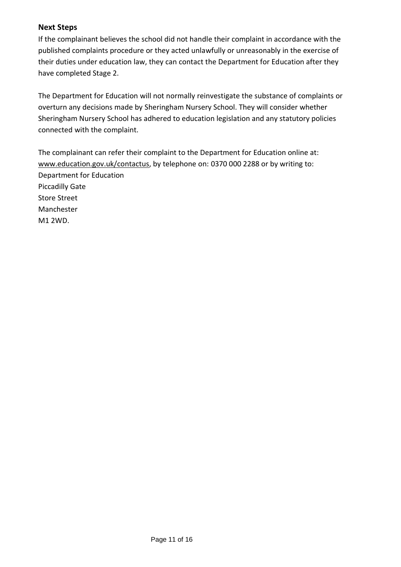# **Next Steps**

If the complainant believes the school did not handle their complaint in accordance with the published complaints procedure or they acted unlawfully or unreasonably in the exercise of their duties under education law, they can contact the Department for Education after they have completed Stage 2.

The Department for Education will not normally reinvestigate the substance of complaints or overturn any decisions made by Sheringham Nursery School. They will consider whether Sheringham Nursery School has adhered to education legislation and any statutory policies connected with the complaint.

The complainant can refer their complaint to the Department for Education online at: [www.education.gov.uk/contactus,](http://www.education.gov.uk/contactus) by telephone on: 0370 000 2288 or by writing to: Department for Education Piccadilly Gate Store Street Manchester M1 2WD.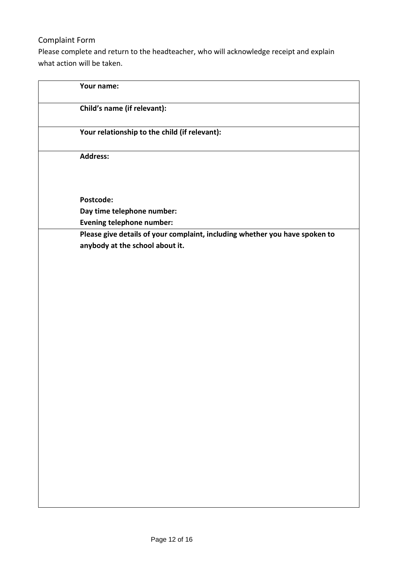# Complaint Form

Please complete and return to the headteacher, who will acknowledge receipt and explain what action will be taken.

| Your name:                                                                                                     |  |
|----------------------------------------------------------------------------------------------------------------|--|
| Child's name (if relevant):                                                                                    |  |
| Your relationship to the child (if relevant):                                                                  |  |
| Address:                                                                                                       |  |
| Postcode:                                                                                                      |  |
| Day time telephone number:                                                                                     |  |
| <b>Evening telephone number:</b>                                                                               |  |
| Please give details of your complaint, including whether you have spoken to<br>anybody at the school about it. |  |
|                                                                                                                |  |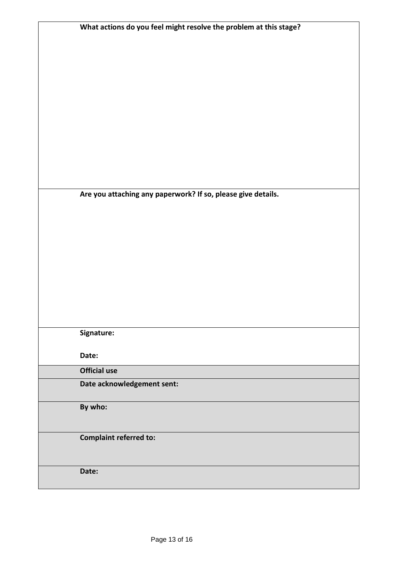| What actions do you feel might resolve the problem at this stage? |
|-------------------------------------------------------------------|
|                                                                   |
|                                                                   |
|                                                                   |
|                                                                   |
|                                                                   |
|                                                                   |
|                                                                   |
|                                                                   |
|                                                                   |
|                                                                   |
|                                                                   |
|                                                                   |
|                                                                   |
|                                                                   |
|                                                                   |
|                                                                   |
| Are you attaching any paperwork? If so, please give details.      |
|                                                                   |
|                                                                   |
|                                                                   |
|                                                                   |
|                                                                   |
|                                                                   |
|                                                                   |
|                                                                   |
|                                                                   |
|                                                                   |
|                                                                   |
|                                                                   |
|                                                                   |
| Signature:                                                        |
|                                                                   |
| Date:                                                             |
| <b>Official use</b>                                               |
|                                                                   |
| Date acknowledgement sent:                                        |
|                                                                   |
| By who:                                                           |
|                                                                   |
|                                                                   |
| <b>Complaint referred to:</b>                                     |
|                                                                   |
|                                                                   |
| Date:                                                             |
|                                                                   |
|                                                                   |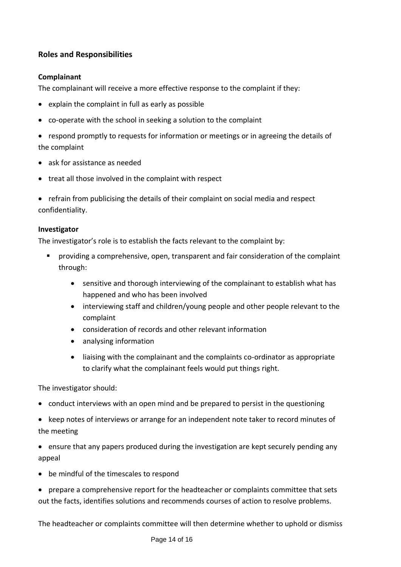# **Roles and Responsibilities**

# **Complainant**

The complainant will receive a more effective response to the complaint if they:

- explain the complaint in full as early as possible
- co-operate with the school in seeking a solution to the complaint
- respond promptly to requests for information or meetings or in agreeing the details of the complaint
- ask for assistance as needed
- treat all those involved in the complaint with respect
- refrain from publicising the details of their complaint on social media and respect confidentiality.

# **Investigator**

The investigator's role is to establish the facts relevant to the complaint by:

- providing a comprehensive, open, transparent and fair consideration of the complaint through:
	- sensitive and thorough interviewing of the complainant to establish what has happened and who has been involved
	- interviewing staff and children/young people and other people relevant to the complaint
	- consideration of records and other relevant information
	- analysing information
	- liaising with the complainant and the complaints co-ordinator as appropriate to clarify what the complainant feels would put things right.

The investigator should:

- conduct interviews with an open mind and be prepared to persist in the questioning
- keep notes of interviews or arrange for an independent note taker to record minutes of the meeting
- ensure that any papers produced during the investigation are kept securely pending any appeal
- be mindful of the timescales to respond
- prepare a comprehensive report for the headteacher or complaints committee that sets out the facts, identifies solutions and recommends courses of action to resolve problems.

The headteacher or complaints committee will then determine whether to uphold or dismiss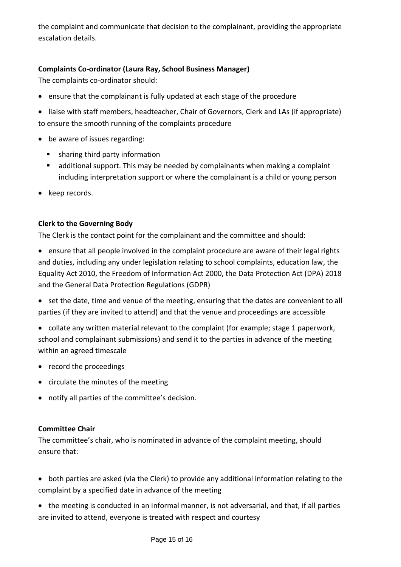the complaint and communicate that decision to the complainant, providing the appropriate escalation details.

# **Complaints Co-ordinator (Laura Ray, School Business Manager)**

The complaints co-ordinator should:

- ensure that the complainant is fully updated at each stage of the procedure
- liaise with staff members, headteacher, Chair of Governors, Clerk and LAs (if appropriate) to ensure the smooth running of the complaints procedure
- be aware of issues regarding:
	- sharing third party information
	- additional support. This may be needed by complainants when making a complaint including interpretation support or where the complainant is a child or young person
- keep records.

# **Clerk to the Governing Body**

The Clerk is the contact point for the complainant and the committee and should:

- ensure that all people involved in the complaint procedure are aware of their legal rights and duties, including any under legislation relating to school complaints, education law, the Equality Act 2010, the Freedom of Information Act 2000, the Data Protection Act (DPA) 2018 and the General Data Protection Regulations (GDPR)
- set the date, time and venue of the meeting, ensuring that the dates are convenient to all parties (if they are invited to attend) and that the venue and proceedings are accessible
- collate any written material relevant to the complaint (for example; stage 1 paperwork, school and complainant submissions) and send it to the parties in advance of the meeting within an agreed timescale
- record the proceedings
- circulate the minutes of the meeting
- notify all parties of the committee's decision.

# **Committee Chair**

The committee's chair, who is nominated in advance of the complaint meeting, should ensure that:

- both parties are asked (via the Clerk) to provide any additional information relating to the complaint by a specified date in advance of the meeting
- the meeting is conducted in an informal manner, is not adversarial, and that, if all parties are invited to attend, everyone is treated with respect and courtesy